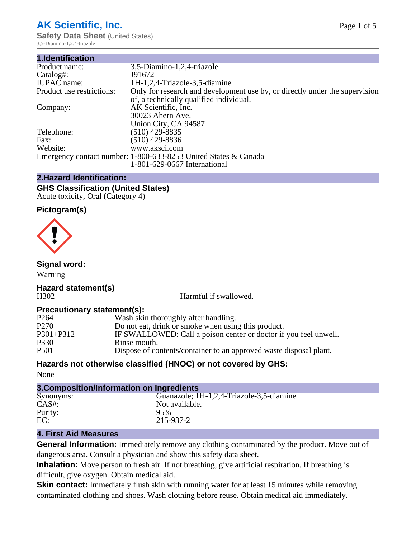## **AK Scientific, Inc.**

**Safety Data Sheet** (United States) 3,5-Diamino-1,2,4-triazole

| 1.Identification          |                                                                                                                        |
|---------------------------|------------------------------------------------------------------------------------------------------------------------|
| Product name:             | 3,5-Diamino-1,2,4-triazole                                                                                             |
| Catalog#:                 | J91672                                                                                                                 |
| <b>IUPAC</b> name:        | 1H-1,2,4-Triazole-3,5-diamine                                                                                          |
| Product use restrictions: | Only for research and development use by, or directly under the supervision<br>of, a technically qualified individual. |
| Company:                  | AK Scientific, Inc.                                                                                                    |
|                           | 30023 Ahern Ave.                                                                                                       |
|                           | Union City, CA 94587                                                                                                   |
| Telephone:                | $(510)$ 429-8835                                                                                                       |
| Fax:                      | $(510)$ 429-8836                                                                                                       |
| Website:                  | www.aksci.com                                                                                                          |
|                           | Emergency contact number: 1-800-633-8253 United States & Canada                                                        |
|                           | 1-801-629-0667 International                                                                                           |
|                           |                                                                                                                        |

## **2.Hazard Identification:**

#### **GHS Classification (United States)** Acute toxicity, Oral (Category 4)

#### **Pictogram(s)**



## **Signal word:**

Warning

#### **Hazard statement(s)** H302 Harmful if swallowed.

## **Precautionary statement(s):**

| Wash skin thoroughly after handling.                               |
|--------------------------------------------------------------------|
| Do not eat, drink or smoke when using this product.                |
| IF SWALLOWED: Call a poison center or doctor if you feel unwell.   |
| Rinse mouth.                                                       |
| Dispose of contents/container to an approved waste disposal plant. |
|                                                                    |

## **Hazards not otherwise classified (HNOC) or not covered by GHS:**

None

| 3. Composition/Information on Ingredients |                                          |  |  |
|-------------------------------------------|------------------------------------------|--|--|
| Synonyms:                                 | Guanazole; 1H-1,2,4-Triazole-3,5-diamine |  |  |
| $CAS#$ :                                  | Not available.                           |  |  |
| Purity:                                   | 95%                                      |  |  |
| EC:                                       | 215-937-2                                |  |  |

## **4. First Aid Measures**

**General Information:** Immediately remove any clothing contaminated by the product. Move out of dangerous area. Consult a physician and show this safety data sheet.

**Inhalation:** Move person to fresh air. If not breathing, give artificial respiration. If breathing is difficult, give oxygen. Obtain medical aid.

**Skin contact:** Immediately flush skin with running water for at least 15 minutes while removing contaminated clothing and shoes. Wash clothing before reuse. Obtain medical aid immediately.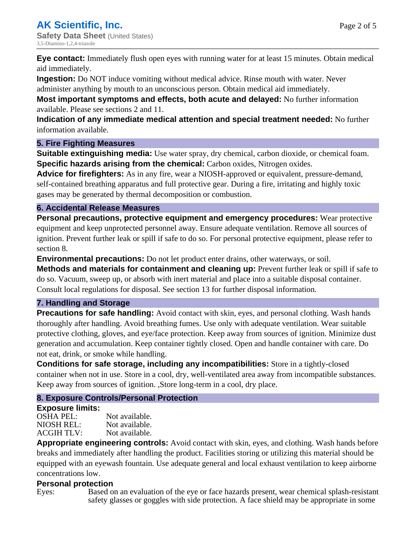**Eye contact:** Immediately flush open eyes with running water for at least 15 minutes. Obtain medical aid immediately.

**Ingestion:** Do NOT induce vomiting without medical advice. Rinse mouth with water. Never

administer anything by mouth to an unconscious person. Obtain medical aid immediately.

**Most important symptoms and effects, both acute and delayed:** No further information available. Please see sections 2 and 11.

**Indication of any immediate medical attention and special treatment needed:** No further information available.

## **5. Fire Fighting Measures**

**Suitable extinguishing media:** Use water spray, dry chemical, carbon dioxide, or chemical foam. **Specific hazards arising from the chemical:** Carbon oxides, Nitrogen oxides.

**Advice for firefighters:** As in any fire, wear a NIOSH-approved or equivalent, pressure-demand, self-contained breathing apparatus and full protective gear. During a fire, irritating and highly toxic gases may be generated by thermal decomposition or combustion.

## **6. Accidental Release Measures**

**Personal precautions, protective equipment and emergency procedures:** Wear protective equipment and keep unprotected personnel away. Ensure adequate ventilation. Remove all sources of ignition. Prevent further leak or spill if safe to do so. For personal protective equipment, please refer to section 8.

**Environmental precautions:** Do not let product enter drains, other waterways, or soil.

**Methods and materials for containment and cleaning up:** Prevent further leak or spill if safe to do so. Vacuum, sweep up, or absorb with inert material and place into a suitable disposal container. Consult local regulations for disposal. See section 13 for further disposal information.

## **7. Handling and Storage**

**Precautions for safe handling:** Avoid contact with skin, eyes, and personal clothing. Wash hands thoroughly after handling. Avoid breathing fumes. Use only with adequate ventilation. Wear suitable protective clothing, gloves, and eye/face protection. Keep away from sources of ignition. Minimize dust generation and accumulation. Keep container tightly closed. Open and handle container with care. Do not eat, drink, or smoke while handling.

**Conditions for safe storage, including any incompatibilities:** Store in a tightly-closed container when not in use. Store in a cool, dry, well-ventilated area away from incompatible substances. Keep away from sources of ignition. ,Store long-term in a cool, dry place.

## **8. Exposure Controls/Personal Protection**

## **Exposure limits:**

OSHA PEL: Not available. NIOSH REL: Not available.<br>ACGIH TLV: Not available. ACGIH TLV:

**Appropriate engineering controls:** Avoid contact with skin, eyes, and clothing. Wash hands before breaks and immediately after handling the product. Facilities storing or utilizing this material should be equipped with an eyewash fountain. Use adequate general and local exhaust ventilation to keep airborne concentrations low.

## **Personal protection**

Eyes: Based on an evaluation of the eye or face hazards present, wear chemical splash-resistant safety glasses or goggles with side protection. A face shield may be appropriate in some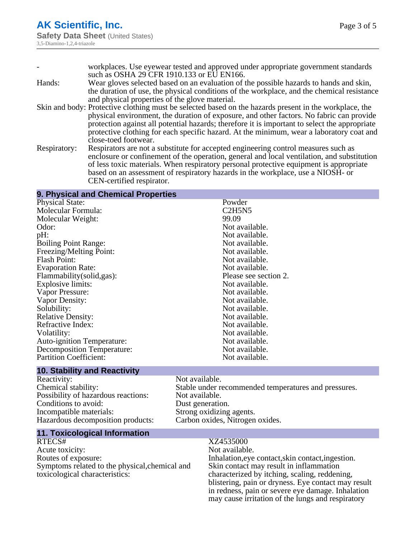| workplaces. Use eyewear tested and approved under appropriate government standards                     |
|--------------------------------------------------------------------------------------------------------|
| such as OSHA 29 CFR 1910.133 or EU EN166.                                                              |
| Wear gloves selected based on an evaluation of the possible hazards to hands and skin,                 |
| the duration of use, the physical conditions of the workplace, and the chemical resistance             |
| and physical properties of the glove material.                                                         |
| Skin and body: Protective clothing must be selected based on the hazards present in the workplace, the |
| physical environment, the duration of exposure, and other factors. No fabric can provide               |
| protection against all potential hazards; therefore it is important to select the appropriate          |
| protective clothing for each specific hazard. At the minimum, wear a laboratory coat and               |
| close-toed footwear.                                                                                   |
| Respirators are not a substitute for accepted engineering control measures such as                     |
| enclosure or confinement of the operation, general and local ventilation, and substitution             |
| of less toxic materials. When respiratory personal protective equipment is appropriate                 |
| based on an assessment of respiratory hazards in the workplace, use a NIOSH- or                        |
|                                                                                                        |

CEN-certified respirator.

#### **9. Physical and Chemical Properties**

| <b>Physical State:</b>            | Powder                |
|-----------------------------------|-----------------------|
| Molecular Formula:                | C2H5N5                |
| Molecular Weight:                 | 99.09                 |
| Odor:                             | Not available.        |
| pH:                               | Not available.        |
| <b>Boiling Point Range:</b>       | Not available.        |
| Freezing/Melting Point:           | Not available.        |
| <b>Flash Point:</b>               | Not available.        |
| <b>Evaporation Rate:</b>          | Not available.        |
| Flammability (solid, gas):        | Please see section 2. |
| <b>Explosive limits:</b>          | Not available.        |
| Vapor Pressure:                   | Not available.        |
| Vapor Density:                    | Not available.        |
| Solubility:                       | Not available.        |
| <b>Relative Density:</b>          | Not available.        |
| Refractive Index:                 | Not available.        |
| Volatility:                       | Not available.        |
| <b>Auto-ignition Temperature:</b> | Not available.        |
| Decomposition Temperature:        | Not available.        |
| <b>Partition Coefficient:</b>     | Not available.        |
|                                   |                       |

# **10. Stability and Reactivity**

Reactivity: Not available.<br>
Chemical stability: Stable under re Possibility of hazardous reactions: Not available.<br>Conditions to avoid: Dust generation. Conditions to avoid:<br>Incompatible materials: Hazardous decomposition products:

Stable under recommended temperatures and pressures. Strong oxidizing agents.<br>Carbon oxides, Nitrogen oxides.

## **11. Toxicological Information**

Acute toxicity: Routes of exposure: Inhalation,eye contact,skin contact,ingestion. Symptoms related to the physical,chemical and toxicological characteristics:

## XZ4535000<br>Not available.

Skin contact may result in inflammation characterized by itching, scaling, reddening, blistering, pain or dryness. Eye contact may result in redness, pain or severe eye damage. Inhalation may cause irritation of the lungs and respiratory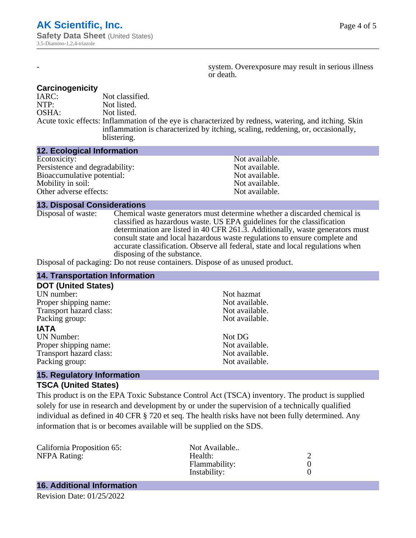system. Overexposure may result in serious illness or death.

#### **Carcinogenicity**

IARC: Not classified.<br>
NOTP: Not listed. Not listed. OSHA: Not listed. Acute toxic effects: Inflammation of the eye is characterized by redness, watering, and itching. Skin inflammation is characterized by itching, scaling, reddening, or, occasionally, blistering.

#### **12. Ecological Information**

| Not available. |
|----------------|
| Not available. |
| Not available. |
| Not available. |
| Not available. |
|                |

#### **13. Disposal Considerations**

Disposal of waste: Chemical waste generators must determine whether a discarded chemical is classified as hazardous waste. US EPA guidelines for the classification determination are listed in 40 CFR 261.3. Additionally, waste generators must consult state and local hazardous waste regulations to ensure complete and accurate classification. Observe all federal, state and local regulations when disposing of the substance.

Disposal of packaging: Do not reuse containers. Dispose of as unused product.

| <b>14. Transportation Information</b> |                |  |
|---------------------------------------|----------------|--|
| <b>DOT (United States)</b>            |                |  |
| UN number:                            | Not hazmat     |  |
| Proper shipping name:                 | Not available. |  |
| Transport hazard class:               | Not available. |  |
| Packing group:                        | Not available. |  |
| <b>IATA</b>                           |                |  |
| <b>UN Number:</b>                     | Not DG         |  |
| Proper shipping name:                 | Not available. |  |
| Transport hazard class:               | Not available. |  |
| Packing group:                        | Not available. |  |
| 45 Demolatent Information             |                |  |

#### **15. Regulatory Information TSCA (United States)**

This product is on the EPA Toxic Substance Control Act (TSCA) inventory. The product is supplied solely for use in research and development by or under the supervision of a technically qualified individual as defined in 40 CFR § 720 et seq. The health risks have not been fully determined. Any information that is or becomes available will be supplied on the SDS.

| California Proposition 65: | Not Available |  |
|----------------------------|---------------|--|
| NFPA Rating:               | Health:       |  |
|                            | Flammability: |  |
|                            | Instability:  |  |
|                            |               |  |

## **16. Additional Information**

Revision Date: 01/25/2022